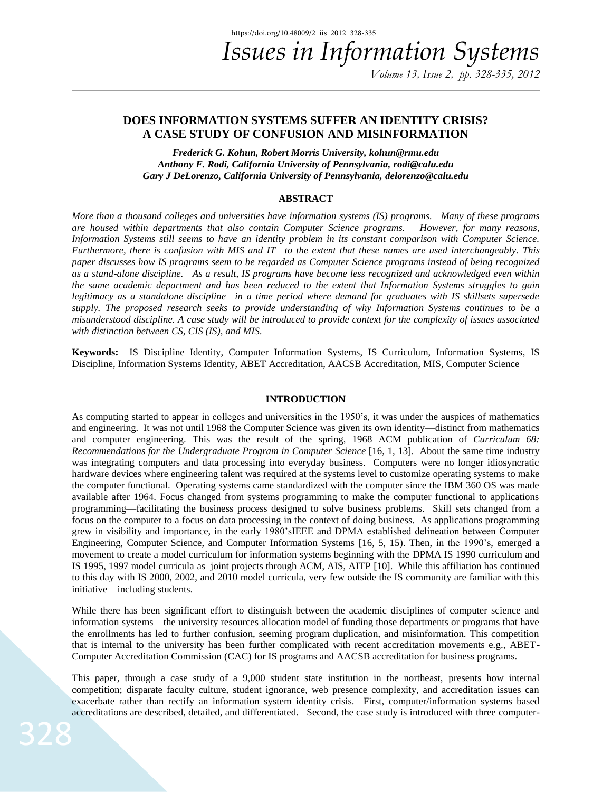## **DOES INFORMATION SYSTEMS SUFFER AN IDENTITY CRISIS? A CASE STUDY OF CONFUSION AND MISINFORMATION**

*Frederick G. Kohun, Robert Morris University, [kohun@rmu.edu](mailto:kohun@rmu.edu) Anthony F. Rodi, California University of Pennsylvania, [rodi@calu.edu](mailto:rodi@calu.edu) Gary J DeLorenzo, California University of Pennsylvania, [delorenzo@calu.edu](mailto:delorenzo@calu.edu)*

### **ABSTRACT**

*More than a thousand colleges and universities have information systems (IS) programs. Many of these programs are housed within departments that also contain Computer Science programs. However, for many reasons, Information Systems still seems to have an identity problem in its constant comparison with Computer Science. Furthermore, there is confusion with MIS and IT—to the extent that these names are used interchangeably. This paper discusses how IS programs seem to be regarded as Computer Science programs instead of being recognized as a stand-alone discipline. As a result, IS programs have become less recognized and acknowledged even within the same academic department and has been reduced to the extent that Information Systems struggles to gain legitimacy as a standalone discipline—in a time period where demand for graduates with IS skillsets supersede supply. The proposed research seeks to provide understanding of why Information Systems continues to be a misunderstood discipline. A case study will be introduced to provide context for the complexity of issues associated with distinction between CS, CIS (IS), and MIS.* 

**Keywords:** IS Discipline Identity, Computer Information Systems, IS Curriculum, Information Systems, IS Discipline, Information Systems Identity, ABET Accreditation, AACSB Accreditation, MIS, Computer Science

#### **INTRODUCTION**

As computing started to appear in colleges and universities in the 1950's, it was under the auspices of mathematics and engineering. It was not until 1968 the Computer Science was given its own identity—distinct from mathematics and computer engineering. This was the result of the spring, 1968 ACM publication of *Curriculum 68: Recommendations for the Undergraduate Program in Computer Science* [16, 1, 13]. About the same time industry was integrating computers and data processing into everyday business. Computers were no longer idiosyncratic hardware devices where engineering talent was required at the systems level to customize operating systems to make the computer functional. Operating systems came standardized with the computer since the IBM 360 OS was made available after 1964. Focus changed from systems programming to make the computer functional to applications programming—facilitating the business process designed to solve business problems. Skill sets changed from a focus on the computer to a focus on data processing in the context of doing business. As applications programming grew in visibility and importance, in the early 1980'sIEEE and DPMA established delineation between Computer Engineering, Computer Science, and Computer Information Systems [16, 5, 15). Then, in the 1990's, emerged a movement to create a model curriculum for information systems beginning with the DPMA IS 1990 curriculum and IS 1995, 1997 model curricula as joint projects through ACM, AIS, AITP [10]. While this affiliation has continued to this day with IS 2000, 2002, and 2010 model curricula, very few outside the IS community are familiar with this initiative—including students.

While there has been significant effort to distinguish between the academic disciplines of computer science and information systems—the university resources allocation model of funding those departments or programs that have the enrollments has led to further confusion, seeming program duplication, and misinformation. This competition that is internal to the university has been further complicated with recent accreditation movements e.g., ABET-Computer Accreditation Commission (CAC) for IS programs and AACSB accreditation for business programs.

This paper, through a case study of a 9,000 student state institution in the northeast, presents how internal competition; disparate faculty culture, student ignorance, web presence complexity, and accreditation issues can exacerbate rather than rectify an information system identity crisis. First, computer/information systems based accreditations are described, detailed, and differentiated. Second, the case study is introduced with three computer-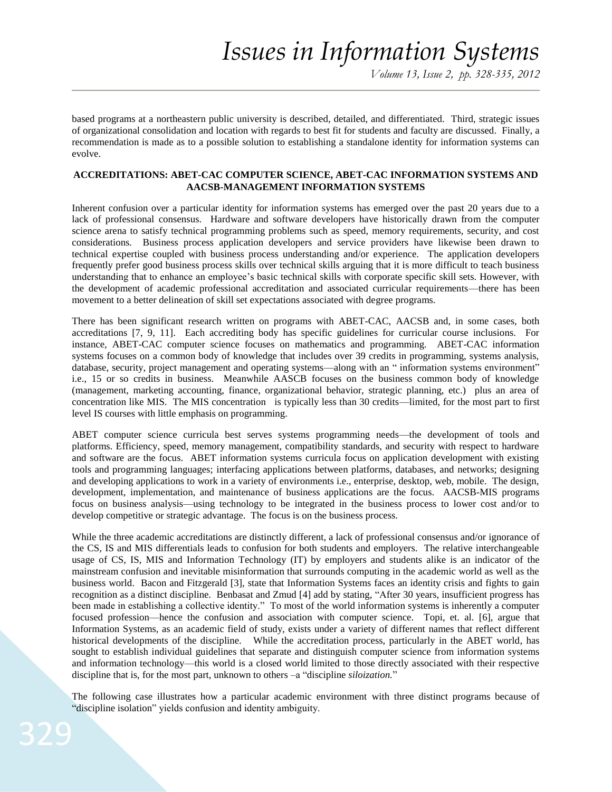based programs at a northeastern public university is described, detailed, and differentiated. Third, strategic issues of organizational consolidation and location with regards to best fit for students and faculty are discussed. Finally, a recommendation is made as to a possible solution to establishing a standalone identity for information systems can evolve.

### **ACCREDITATIONS: ABET-CAC COMPUTER SCIENCE, ABET-CAC INFORMATION SYSTEMS AND AACSB-MANAGEMENT INFORMATION SYSTEMS**

Inherent confusion over a particular identity for information systems has emerged over the past 20 years due to a lack of professional consensus. Hardware and software developers have historically drawn from the computer science arena to satisfy technical programming problems such as speed, memory requirements, security, and cost considerations. Business process application developers and service providers have likewise been drawn to technical expertise coupled with business process understanding and/or experience. The application developers frequently prefer good business process skills over technical skills arguing that it is more difficult to teach business understanding that to enhance an employee's basic technical skills with corporate specific skill sets. However, with the development of academic professional accreditation and associated curricular requirements—there has been movement to a better delineation of skill set expectations associated with degree programs.

There has been significant research written on programs with ABET-CAC, AACSB and, in some cases, both accreditations [7, 9, 11]. Each accrediting body has specific guidelines for curricular course inclusions. For instance, ABET-CAC computer science focuses on mathematics and programming. ABET-CAC information systems focuses on a common body of knowledge that includes over 39 credits in programming, systems analysis, database, security, project management and operating systems—along with an " information systems environment" i.e., 15 or so credits in business. Meanwhile AASCB focuses on the business common body of knowledge (management, marketing accounting, finance, organizational behavior, strategic planning, etc.) plus an area of concentration like MIS. The MIS concentration is typically less than 30 credits—limited, for the most part to first level IS courses with little emphasis on programming.

ABET computer science curricula best serves systems programming needs—the development of tools and platforms. Efficiency, speed, memory management, compatibility standards, and security with respect to hardware and software are the focus. ABET information systems curricula focus on application development with existing tools and programming languages; interfacing applications between platforms, databases, and networks; designing and developing applications to work in a variety of environments i.e., enterprise, desktop, web, mobile. The design, development, implementation, and maintenance of business applications are the focus. AACSB-MIS programs focus on business analysis—using technology to be integrated in the business process to lower cost and/or to develop competitive or strategic advantage. The focus is on the business process.

While the three academic accreditations are distinctly different, a lack of professional consensus and/or ignorance of the CS, IS and MIS differentials leads to confusion for both students and employers. The relative interchangeable usage of CS, IS, MIS and Information Technology (IT) by employers and students alike is an indicator of the mainstream confusion and inevitable misinformation that surrounds computing in the academic world as well as the business world. Bacon and Fitzgerald [3], state that Information Systems faces an identity crisis and fights to gain recognition as a distinct discipline. Benbasat and Zmud [4] add by stating, "After 30 years, insufficient progress has been made in establishing a collective identity." To most of the world information systems is inherently a computer focused profession—hence the confusion and association with computer science. Topi, et. al. [6], argue that Information Systems, as an academic field of study, exists under a variety of different names that reflect different historical developments of the discipline. While the accreditation process, particularly in the ABET world, has sought to establish individual guidelines that separate and distinguish computer science from information systems and information technology—this world is a closed world limited to those directly associated with their respective discipline that is, for the most part, unknown to others –a "discipline *siloization.*"

The following case illustrates how a particular academic environment with three distinct programs because of "discipline isolation" yields confusion and identity ambiguity.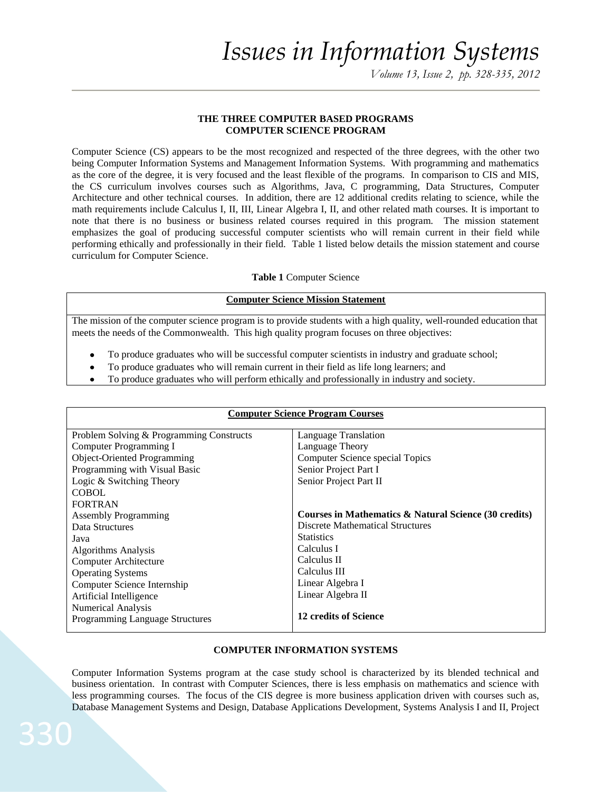## **THE THREE COMPUTER BASED PROGRAMS COMPUTER SCIENCE PROGRAM**

Computer Science (CS) appears to be the most recognized and respected of the three degrees, with the other two being Computer Information Systems and Management Information Systems. With programming and mathematics as the core of the degree, it is very focused and the least flexible of the programs. In comparison to CIS and MIS, the CS curriculum involves courses such as Algorithms, Java, C programming, Data Structures, Computer Architecture and other technical courses. In addition, there are 12 additional credits relating to science, while the math requirements include Calculus I, II, III, Linear Algebra I, II, and other related math courses. It is important to note that there is no business or business related courses required in this program. The mission statement emphasizes the goal of producing successful computer scientists who will remain current in their field while performing ethically and professionally in their field. Table 1 listed below details the mission statement and course curriculum for Computer Science.

### **Table 1** Computer Science

### **Computer Science Mission Statement**

The mission of the computer science program is to provide students with a high quality, well-rounded education that meets the needs of the Commonwealth. This high quality program focuses on three objectives:

- To produce graduates who will be successful computer scientists in industry and graduate school;
- To produce graduates who will remain current in their field as life long learners; and
- To produce graduates who will perform ethically and professionally in industry and society.

| <b>Computer Science Program Courses</b>  |                                                       |  |
|------------------------------------------|-------------------------------------------------------|--|
| Problem Solving & Programming Constructs | Language Translation                                  |  |
| Computer Programming I                   | Language Theory                                       |  |
| Object-Oriented Programming              | Computer Science special Topics                       |  |
| Programming with Visual Basic            | Senior Project Part I                                 |  |
| Logic & Switching Theory                 | Senior Project Part II                                |  |
| <b>COBOL</b>                             |                                                       |  |
| <b>FORTRAN</b>                           |                                                       |  |
| <b>Assembly Programming</b>              | Courses in Mathematics & Natural Science (30 credits) |  |
| Data Structures                          | <b>Discrete Mathematical Structures</b>               |  |
| Java                                     | <b>Statistics</b>                                     |  |
| <b>Algorithms Analysis</b>               | Calculus I                                            |  |
| <b>Computer Architecture</b>             | Calculus II                                           |  |
| <b>Operating Systems</b>                 | Calculus III                                          |  |
| Computer Science Internship              | Linear Algebra I                                      |  |
| Artificial Intelligence                  | Linear Algebra II                                     |  |
| <b>Numerical Analysis</b>                |                                                       |  |
| Programming Language Structures          | 12 credits of Science                                 |  |

## **COMPUTER INFORMATION SYSTEMS**

Computer Information Systems program at the case study school is characterized by its blended technical and business orientation. In contrast with Computer Sciences, there is less emphasis on mathematics and science with less programming courses. The focus of the CIS degree is more business application driven with courses such as, Database Management Systems and Design, Database Applications Development, Systems Analysis I and II, Project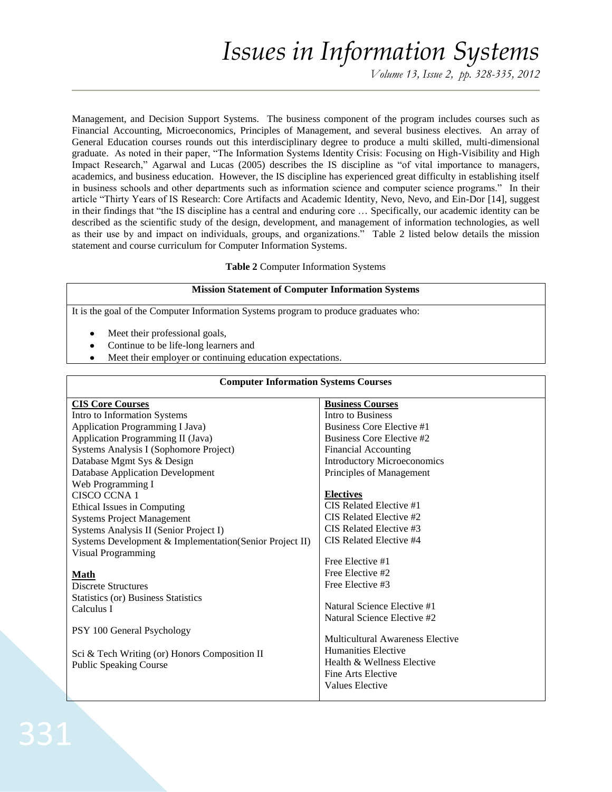*Volume 13, Issue 2, pp. 328-335, 2012*

Management, and Decision Support Systems. The business component of the program includes courses such as Financial Accounting, Microeconomics, Principles of Management, and several business electives. An array of General Education courses rounds out this interdisciplinary degree to produce a multi skilled, multi-dimensional graduate. As noted in their paper, "The Information Systems Identity Crisis: Focusing on High-Visibility and High Impact Research," Agarwal and Lucas (2005) describes the IS discipline as "of vital importance to managers, academics, and business education. However, the IS discipline has experienced great difficulty in establishing itself in business schools and other departments such as information science and computer science programs." In their article "Thirty Years of IS Research: Core Artifacts and Academic Identity, Nevo, Nevo, and Ein-Dor [14], suggest in their findings that "the IS discipline has a central and enduring core … Specifically, our academic identity can be described as the scientific study of the design, development, and management of information technologies, as well as their use by and impact on individuals, groups, and organizations." Table 2 listed below details the mission statement and course curriculum for Computer Information Systems.

#### **Table 2** Computer Information Systems

#### **Mission Statement of Computer Information Systems**

It is the goal of the Computer Information Systems program to produce graduates who:

- Meet their professional goals,
- Continue to be life-long learners and
- Meet their employer or continuing education expectations.

#### **Computer Information Systems Courses**

| <b>CIS Core Courses</b>                                 | <b>Business Courses</b>            |
|---------------------------------------------------------|------------------------------------|
| Intro to Information Systems                            | Intro to Business                  |
| Application Programming I Java)                         | Business Core Elective #1          |
| Application Programming II (Java)                       | Business Core Elective #2          |
| Systems Analysis I (Sophomore Project)                  | <b>Financial Accounting</b>        |
| Database Mgmt Sys & Design                              | <b>Introductory Microeconomics</b> |
| <b>Database Application Development</b>                 | Principles of Management           |
| Web Programming I                                       |                                    |
| <b>CISCO CCNA1</b>                                      | <b>Electives</b>                   |
| Ethical Issues in Computing                             | CIS Related Elective #1            |
| <b>Systems Project Management</b>                       | CIS Related Elective #2            |
| Systems Analysis II (Senior Project I)                  | CIS Related Elective #3            |
| Systems Development & Implementation(Senior Project II) | CIS Related Elective #4            |
| <b>Visual Programming</b>                               |                                    |
|                                                         | Free Elective #1                   |
| <b>Math</b>                                             | Free Elective #2                   |
| Discrete Structures                                     | Free Elective #3                   |
| <b>Statistics (or) Business Statistics</b>              |                                    |
| Calculus I                                              | Natural Science Elective #1        |
|                                                         | Natural Science Elective #2        |
| PSY 100 General Psychology                              |                                    |
|                                                         | Multicultural Awareness Elective   |
| Sci & Tech Writing (or) Honors Composition II           | Humanities Elective                |
| <b>Public Speaking Course</b>                           | Health & Wellness Elective         |
|                                                         | Fine Arts Elective                 |
|                                                         | Values Elective                    |
|                                                         |                                    |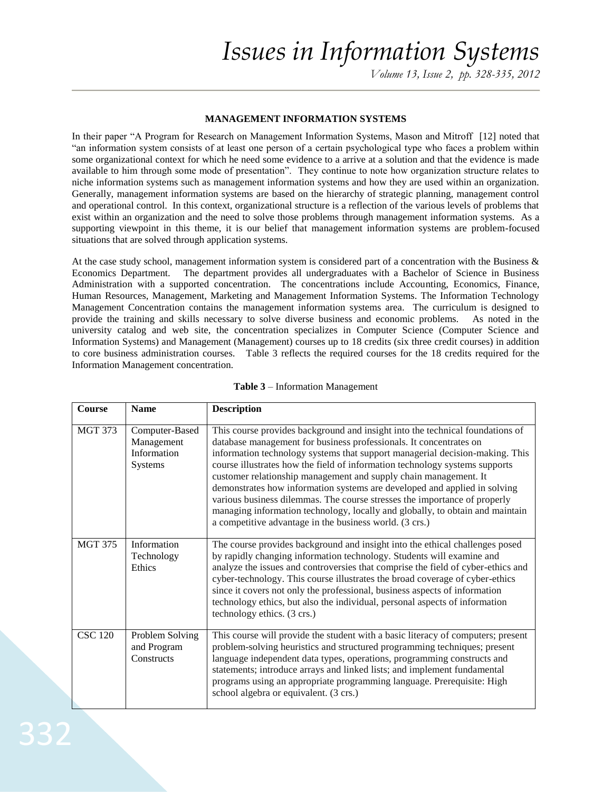*Volume 13, Issue 2, pp. 328-335, 2012*

#### **MANAGEMENT INFORMATION SYSTEMS**

In their paper "A Program for Research on Management Information Systems, Mason and Mitroff [12] noted that "an information system consists of at least one person of a certain psychological type who faces a problem within some organizational context for which he need some evidence to a arrive at a solution and that the evidence is made available to him through some mode of presentation". They continue to note how organization structure relates to niche information systems such as management information systems and how they are used within an organization. Generally, management information systems are based on the hierarchy of strategic planning, management control and operational control. In this context, organizational structure is a reflection of the various levels of problems that exist within an organization and the need to solve those problems through management information systems. As a supporting viewpoint in this theme, it is our belief that management information systems are problem-focused situations that are solved through application systems.

At the case study school, management information system is considered part of a concentration with the Business  $\&$ Economics Department. The department provides all undergraduates with a Bachelor of Science in Business Administration with a supported concentration. The concentrations include Accounting, Economics, Finance, Human Resources, Management, Marketing and Management Information Systems. The Information Technology Management Concentration contains the management information systems area. The curriculum is designed to provide the training and skills necessary to solve diverse business and economic problems. As noted in the university catalog and web site, the concentration specializes in Computer Science (Computer Science and Information Systems) and Management (Management) courses up to 18 credits (six three credit courses) in addition to core business administration courses. Table 3 reflects the required courses for the 18 credits required for the Information Management concentration.

| <b>Course</b>  | <b>Name</b>                                            | <b>Description</b>                                                                                                                                                                                                                                                                                                                                                                                                                                                                                                                                                                                                                                                                           |
|----------------|--------------------------------------------------------|----------------------------------------------------------------------------------------------------------------------------------------------------------------------------------------------------------------------------------------------------------------------------------------------------------------------------------------------------------------------------------------------------------------------------------------------------------------------------------------------------------------------------------------------------------------------------------------------------------------------------------------------------------------------------------------------|
| <b>MGT 373</b> | Computer-Based<br>Management<br>Information<br>Systems | This course provides background and insight into the technical foundations of<br>database management for business professionals. It concentrates on<br>information technology systems that support managerial decision-making. This<br>course illustrates how the field of information technology systems supports<br>customer relationship management and supply chain management. It<br>demonstrates how information systems are developed and applied in solving<br>various business dilemmas. The course stresses the importance of properly<br>managing information technology, locally and globally, to obtain and maintain<br>a competitive advantage in the business world. (3 crs.) |
| <b>MGT 375</b> | Information<br>Technology<br>Ethics                    | The course provides background and insight into the ethical challenges posed<br>by rapidly changing information technology. Students will examine and<br>analyze the issues and controversies that comprise the field of cyber-ethics and<br>cyber-technology. This course illustrates the broad coverage of cyber-ethics<br>since it covers not only the professional, business aspects of information<br>technology ethics, but also the individual, personal aspects of information<br>technology ethics. (3 crs.)                                                                                                                                                                        |
| <b>CSC 120</b> | Problem Solving<br>and Program<br>Constructs           | This course will provide the student with a basic literacy of computers; present<br>problem-solving heuristics and structured programming techniques; present<br>language independent data types, operations, programming constructs and<br>statements; introduce arrays and linked lists; and implement fundamental<br>programs using an appropriate programming language. Prerequisite: High<br>school algebra or equivalent. (3 crs.)                                                                                                                                                                                                                                                     |

#### **Table 3** – Information Management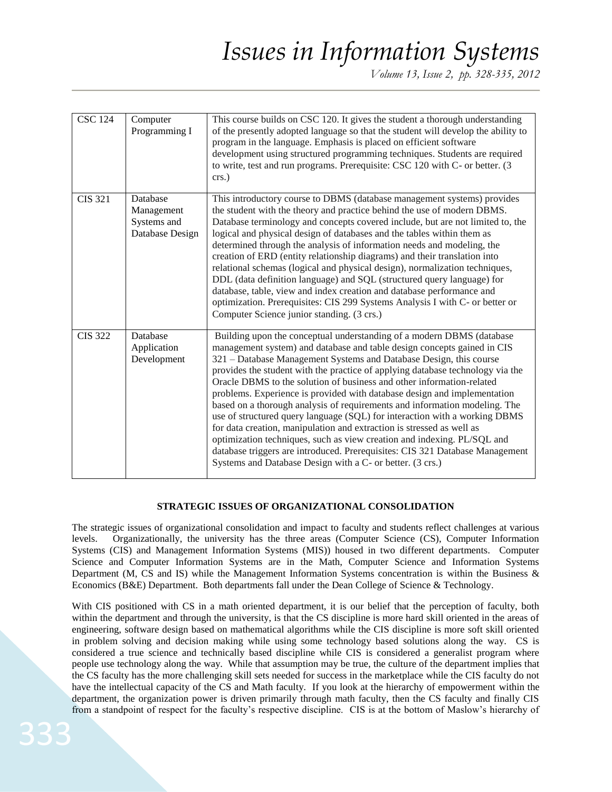*Volume 13, Issue 2, pp. 328-335, 2012*

| <b>CSC 124</b> | Computer<br>Programming I                                | This course builds on CSC 120. It gives the student a thorough understanding<br>of the presently adopted language so that the student will develop the ability to<br>program in the language. Emphasis is placed on efficient software<br>development using structured programming techniques. Students are required<br>to write, test and run programs. Prerequisite: CSC 120 with C- or better. (3<br>crs.)                                                                                                                                                                                                                                                                                                                                                                                                                                                                                                              |
|----------------|----------------------------------------------------------|----------------------------------------------------------------------------------------------------------------------------------------------------------------------------------------------------------------------------------------------------------------------------------------------------------------------------------------------------------------------------------------------------------------------------------------------------------------------------------------------------------------------------------------------------------------------------------------------------------------------------------------------------------------------------------------------------------------------------------------------------------------------------------------------------------------------------------------------------------------------------------------------------------------------------|
| <b>CIS 321</b> | Database<br>Management<br>Systems and<br>Database Design | This introductory course to DBMS (database management systems) provides<br>the student with the theory and practice behind the use of modern DBMS.<br>Database terminology and concepts covered include, but are not limited to, the<br>logical and physical design of databases and the tables within them as<br>determined through the analysis of information needs and modeling, the<br>creation of ERD (entity relationship diagrams) and their translation into<br>relational schemas (logical and physical design), normalization techniques,<br>DDL (data definition language) and SQL (structured query language) for<br>database, table, view and index creation and database performance and<br>optimization. Prerequisites: CIS 299 Systems Analysis I with C- or better or<br>Computer Science junior standing. (3 crs.)                                                                                      |
| <b>CIS 322</b> | Database<br>Application<br>Development                   | Building upon the conceptual understanding of a modern DBMS (database<br>management system) and database and table design concepts gained in CIS<br>321 – Database Management Systems and Database Design, this course<br>provides the student with the practice of applying database technology via the<br>Oracle DBMS to the solution of business and other information-related<br>problems. Experience is provided with database design and implementation<br>based on a thorough analysis of requirements and information modeling. The<br>use of structured query language (SQL) for interaction with a working DBMS<br>for data creation, manipulation and extraction is stressed as well as<br>optimization techniques, such as view creation and indexing. PL/SQL and<br>database triggers are introduced. Prerequisites: CIS 321 Database Management<br>Systems and Database Design with a C- or better. (3 crs.) |

## **STRATEGIC ISSUES OF ORGANIZATIONAL CONSOLIDATION**

The strategic issues of organizational consolidation and impact to faculty and students reflect challenges at various levels. Organizationally, the university has the three areas (Computer Science (CS), Computer Information Systems (CIS) and Management Information Systems (MIS)) housed in two different departments. Computer Science and Computer Information Systems are in the Math, Computer Science and Information Systems Department (M, CS and IS) while the Management Information Systems concentration is within the Business & Economics (B&E) Department. Both departments fall under the Dean College of Science & Technology.

With CIS positioned with CS in a math oriented department, it is our belief that the perception of faculty, both within the department and through the university, is that the CS discipline is more hard skill oriented in the areas of engineering, software design based on mathematical algorithms while the CIS discipline is more soft skill oriented in problem solving and decision making while using some technology based solutions along the way. CS is considered a true science and technically based discipline while CIS is considered a generalist program where people use technology along the way. While that assumption may be true, the culture of the department implies that the CS faculty has the more challenging skill sets needed for success in the marketplace while the CIS faculty do not have the intellectual capacity of the CS and Math faculty. If you look at the hierarchy of empowerment within the department, the organization power is driven primarily through math faculty, then the CS faculty and finally CIS from a standpoint of respect for the faculty's respective discipline. CIS is at the bottom of Maslow's hierarchy of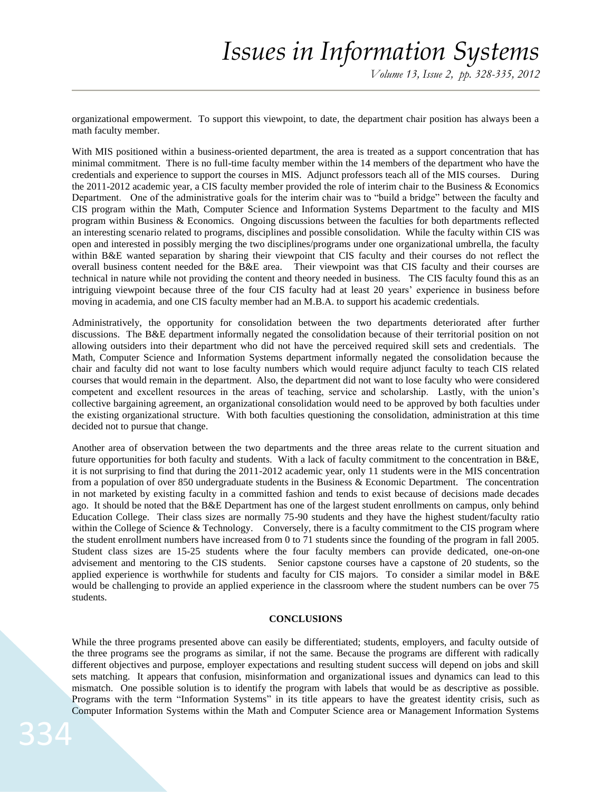organizational empowerment. To support this viewpoint, to date, the department chair position has always been a math faculty member.

With MIS positioned within a business-oriented department, the area is treated as a support concentration that has minimal commitment. There is no full-time faculty member within the 14 members of the department who have the credentials and experience to support the courses in MIS. Adjunct professors teach all of the MIS courses. During the 2011-2012 academic year, a CIS faculty member provided the role of interim chair to the Business & Economics Department. One of the administrative goals for the interim chair was to "build a bridge" between the faculty and CIS program within the Math, Computer Science and Information Systems Department to the faculty and MIS program within Business & Economics. Ongoing discussions between the faculties for both departments reflected an interesting scenario related to programs, disciplines and possible consolidation. While the faculty within CIS was open and interested in possibly merging the two disciplines/programs under one organizational umbrella, the faculty within B&E wanted separation by sharing their viewpoint that CIS faculty and their courses do not reflect the overall business content needed for the B&E area. Their viewpoint was that CIS faculty and their courses are technical in nature while not providing the content and theory needed in business. The CIS faculty found this as an intriguing viewpoint because three of the four CIS faculty had at least 20 years' experience in business before moving in academia, and one CIS faculty member had an M.B.A. to support his academic credentials.

Administratively, the opportunity for consolidation between the two departments deteriorated after further discussions. The B&E department informally negated the consolidation because of their territorial position on not allowing outsiders into their department who did not have the perceived required skill sets and credentials. The Math, Computer Science and Information Systems department informally negated the consolidation because the chair and faculty did not want to lose faculty numbers which would require adjunct faculty to teach CIS related courses that would remain in the department. Also, the department did not want to lose faculty who were considered competent and excellent resources in the areas of teaching, service and scholarship. Lastly, with the union's collective bargaining agreement, an organizational consolidation would need to be approved by both faculties under the existing organizational structure. With both faculties questioning the consolidation, administration at this time decided not to pursue that change.

Another area of observation between the two departments and the three areas relate to the current situation and future opportunities for both faculty and students. With a lack of faculty commitment to the concentration in B&E, it is not surprising to find that during the 2011-2012 academic year, only 11 students were in the MIS concentration from a population of over 850 undergraduate students in the Business & Economic Department. The concentration in not marketed by existing faculty in a committed fashion and tends to exist because of decisions made decades ago. It should be noted that the B&E Department has one of the largest student enrollments on campus, only behind Education College. Their class sizes are normally 75-90 students and they have the highest student/faculty ratio within the College of Science & Technology. Conversely, there is a faculty commitment to the CIS program where the student enrollment numbers have increased from 0 to 71 students since the founding of the program in fall 2005. Student class sizes are 15-25 students where the four faculty members can provide dedicated, one-on-one advisement and mentoring to the CIS students. Senior capstone courses have a capstone of 20 students, so the applied experience is worthwhile for students and faculty for CIS majors. To consider a similar model in B&E would be challenging to provide an applied experience in the classroom where the student numbers can be over 75 students.

#### **CONCLUSIONS**

While the three programs presented above can easily be differentiated; students, employers, and faculty outside of the three programs see the programs as similar, if not the same. Because the programs are different with radically different objectives and purpose, employer expectations and resulting student success will depend on jobs and skill sets matching. It appears that confusion, misinformation and organizational issues and dynamics can lead to this mismatch. One possible solution is to identify the program with labels that would be as descriptive as possible. Programs with the term "Information Systems" in its title appears to have the greatest identity crisis, such as Computer Information Systems within the Math and Computer Science area or Management Information Systems